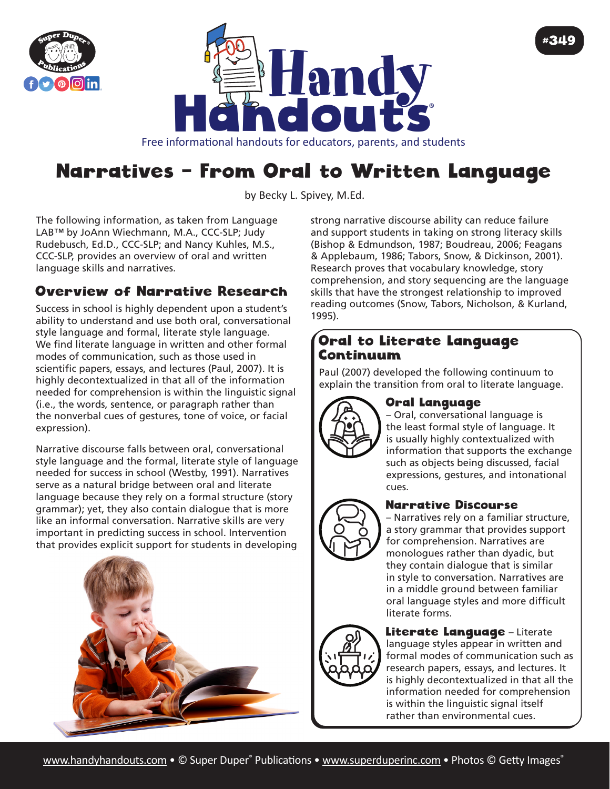



Free informational handouts for educators, parents, and students

# Narratives – From Oral to Written Language

by Becky L. Spivey, [M.Ed](http://M.Ed).

The following information, as taken from Language LAB™ by JoAnn Wiechmann, M.A., CCC-SLP; Judy Rudebusch, Ed.D., CCC-SLP; and Nancy Kuhles, M.S., CCC-SLP, provides an overview of oral and written language skills and narratives.

## Overview of Narrative Research

Success in school is highly dependent upon a student's ability to understand and use both oral, conversational style language and formal, literate style language. We find literate language in written and other formal modes of communication, such as those used in scientific papers, essays, and lectures (Paul, 2007). It is highly decontextualized in that all of the information needed for comprehension is within the linguistic signal (i.e., the words, sentence, or paragraph rather than the nonverbal cues of gestures, tone of voice, or facial expression).

Narrative discourse falls between oral, conversational style language and the formal, literate style of language needed for success in school (Westby, 1991). Narratives serve as a natural bridge between oral and literate language because they rely on a formal structure (story grammar); yet, they also contain dialogue that is more like an informal conversation. Narrative skills are very important in predicting success in school. Intervention that provides explicit support for students in developing



strong narrative discourse ability can reduce failure and support students in taking on strong literacy skills (Bishop & Edmundson, 1987; Boudreau, 2006; Feagans & Applebaum, 1986; Tabors, Snow, & Dickinson, 2001). Research proves that vocabulary knowledge, story comprehension, and story sequencing are the language skills that have the strongest relationship to improved reading outcomes (Snow, Tabors, Nicholson, & Kurland, 1995).

### Oral to Literate Language Continuum

Paul (2007) developed the following continuum to explain the transition from oral to literate language.



#### Oral Language

– Oral, conversational language is the least formal style of language. It is usually highly contextualized with information that supports the exchange such as objects being discussed, facial expressions, gestures, and intonational cues.

#349



#### Narrative Discourse

– Narratives rely on a familiar structure, a story grammar that provides support for comprehension. Narratives are monologues rather than dyadic, but they contain dialogue that is similar in style to conversation. Narratives are in a middle ground between familiar oral language styles and more difficult literate forms.



#### Literate Language - Literate language styles appear in written and formal modes of communication such as research papers, essays, and lectures. It is highly decontextualized in that all the information needed for comprehension is within the linguistic signal itself rather than environmental cues.